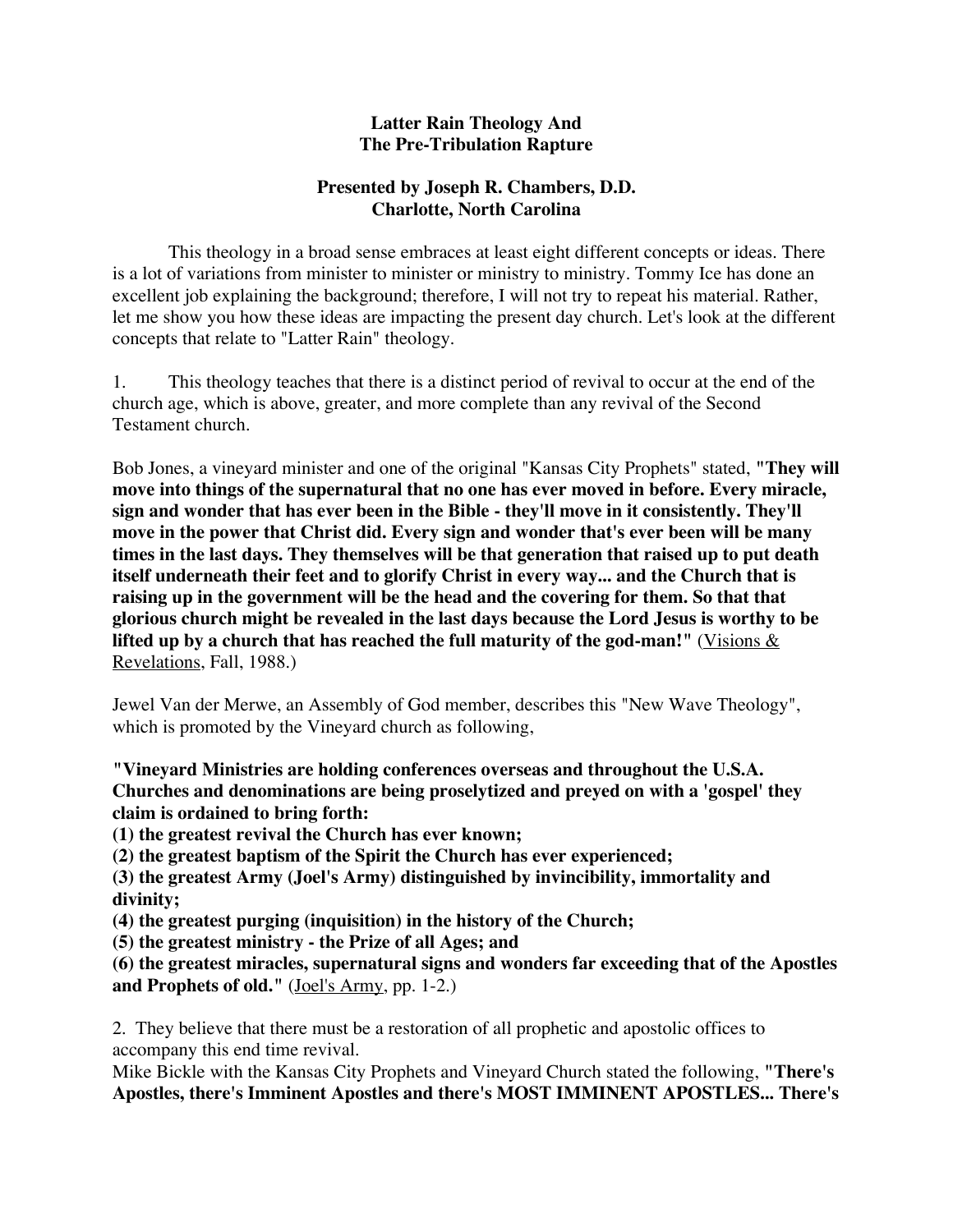# **Latter Rain Theology And The Pre-Tribulation Rapture**

# **Presented by Joseph R. Chambers, D.D. Charlotte, North Carolina**

This theology in a broad sense embraces at least eight different concepts or ideas. There is a lot of variations from minister to minister or ministry to ministry. Tommy Ice has done an excellent job explaining the background; therefore, I will not try to repeat his material. Rather, let me show you how these ideas are impacting the present day church. Let's look at the different concepts that relate to "Latter Rain" theology.

1. This theology teaches that there is a distinct period of revival to occur at the end of the church age, which is above, greater, and more complete than any revival of the Second Testament church.

Bob Jones, a vineyard minister and one of the original "Kansas City Prophets" stated, **"They will move into things of the supernatural that no one has ever moved in before. Every miracle, sign and wonder that has ever been in the Bible - they'll move in it consistently. They'll move in the power that Christ did. Every sign and wonder that's ever been will be many times in the last days. They themselves will be that generation that raised up to put death itself underneath their feet and to glorify Christ in every way... and the Church that is raising up in the government will be the head and the covering for them. So that that glorious church might be revealed in the last days because the Lord Jesus is worthy to be lifted up by a church that has reached the full maturity of the god-man!"** (Visions & Revelations, Fall, 1988.)

Jewel Van der Merwe, an Assembly of God member, describes this "New Wave Theology", which is promoted by the Vineyard church as following,

**"Vineyard Ministries are holding conferences overseas and throughout the U.S.A. Churches and denominations are being proselytized and preyed on with a 'gospel' they claim is ordained to bring forth:**

**(1) the greatest revival the Church has ever known;**

**(2) the greatest baptism of the Spirit the Church has ever experienced;**

**(3) the greatest Army (Joel's Army) distinguished by invincibility, immortality and divinity;**

**(4) the greatest purging (inquisition) in the history of the Church;**

**(5) the greatest ministry - the Prize of all Ages; and**

**(6) the greatest miracles, supernatural signs and wonders far exceeding that of the Apostles and Prophets of old."** (Joel's Army, pp. 1-2.)

2. They believe that there must be a restoration of all prophetic and apostolic offices to accompany this end time revival.

Mike Bickle with the Kansas City Prophets and Vineyard Church stated the following, **"There's Apostles, there's Imminent Apostles and there's MOST IMMINENT APOSTLES... There's**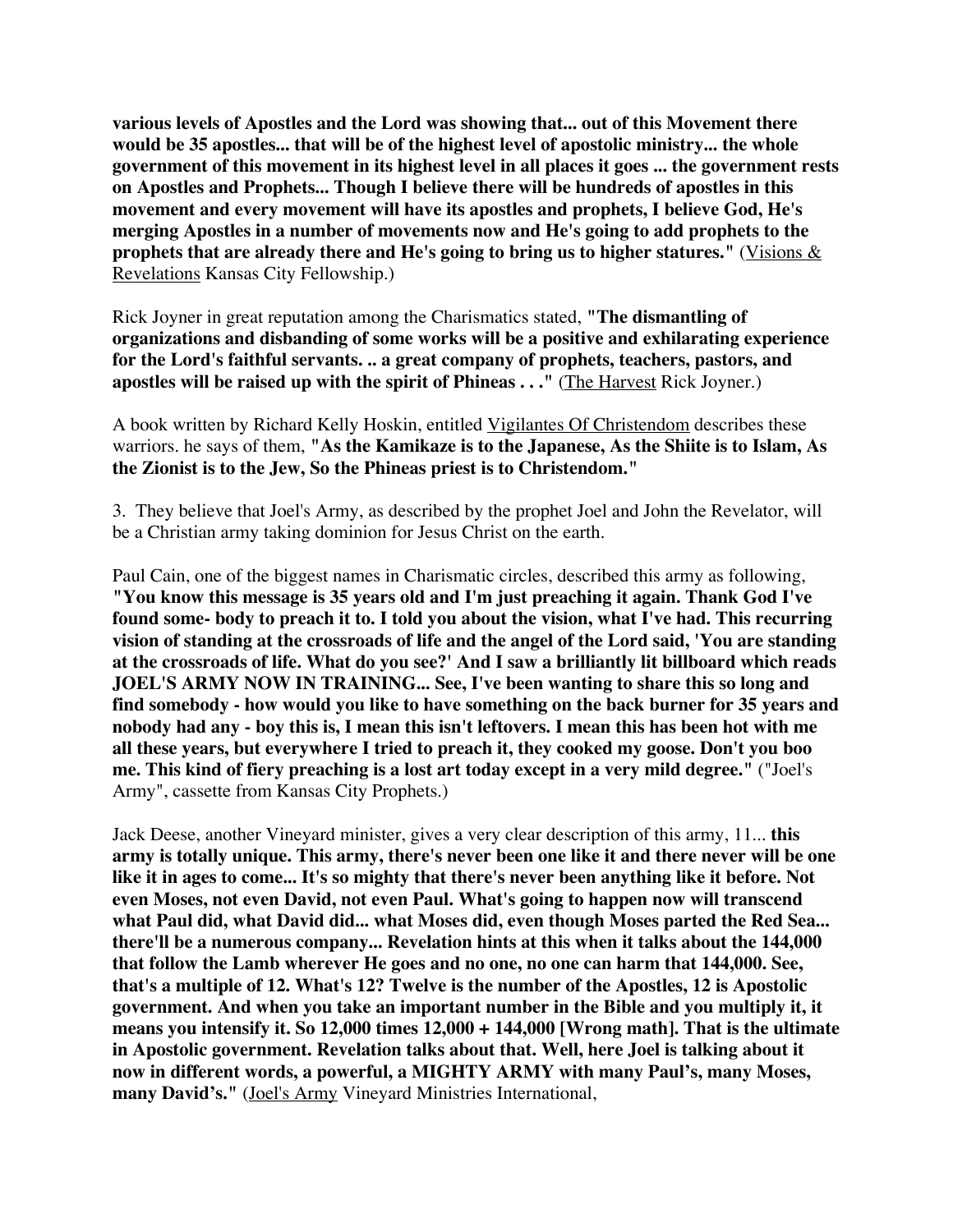**various levels of Apostles and the Lord was showing that... out of this Movement there would be 35 apostles... that will be of the highest level of apostolic ministry... the whole government of this movement in its highest level in all places it goes ... the government rests on Apostles and Prophets... Though I believe there will be hundreds of apostles in this movement and every movement will have its apostles and prophets, I believe God, He's merging Apostles in a number of movements now and He's going to add prophets to the prophets that are already there and He's going to bring us to higher statures."** (Visions & Revelations Kansas City Fellowship.)

Rick Joyner in great reputation among the Charismatics stated, **"The dismantling of organizations and disbanding of some works will be a positive and exhilarating experience for the Lord's faithful servants. .. a great company of prophets, teachers, pastors, and apostles will be raised up with the spirit of Phineas . . ."** (The Harvest Rick Joyner.)

A book written by Richard Kelly Hoskin, entitled Vigilantes Of Christendom describes these warriors. he says of them, **"As the Kamikaze is to the Japanese, As the Shiite is to Islam, As the Zionist is to the Jew, So the Phineas priest is to Christendom."**

3. They believe that Joel's Army, as described by the prophet Joel and John the Revelator, will be a Christian army taking dominion for Jesus Christ on the earth.

Paul Cain, one of the biggest names in Charismatic circles, described this army as following, **"You know this message is 35 years old and I'm just preaching it again. Thank God I've found some- body to preach it to. I told you about the vision, what I've had. This recurring vision of standing at the crossroads of life and the angel of the Lord said, 'You are standing at the crossroads of life. What do you see?' And I saw a brilliantly lit billboard which reads JOEL'S ARMY NOW IN TRAINING... See, I've been wanting to share this so long and find somebody - how would you like to have something on the back burner for 35 years and nobody had any - boy this is, I mean this isn't leftovers. I mean this has been hot with me all these years, but everywhere I tried to preach it, they cooked my goose. Don't you boo me. This kind of fiery preaching is a lost art today except in a very mild degree."** ("Joel's Army", cassette from Kansas City Prophets.)

Jack Deese, another Vineyard minister, gives a very clear description of this army, 11... **this army is totally unique. This army, there's never been one like it and there never will be one like it in ages to come... It's so mighty that there's never been anything like it before. Not even Moses, not even David, not even Paul. What's going to happen now will transcend what Paul did, what David did... what Moses did, even though Moses parted the Red Sea... there'll be a numerous company... Revelation hints at this when it talks about the 144,000 that follow the Lamb wherever He goes and no one, no one can harm that 144,000. See, that's a multiple of 12. What's 12? Twelve is the number of the Apostles, 12 is Apostolic government. And when you take an important number in the Bible and you multiply it, it means you intensify it. So 12,000 times 12,000 + 144,000 [Wrong math]. That is the ultimate in Apostolic government. Revelation talks about that. Well, here Joel is talking about it now in different words, a powerful, a MIGHTY ARMY with many Paul's, many Moses, many David's."** (Joel's Army Vineyard Ministries International,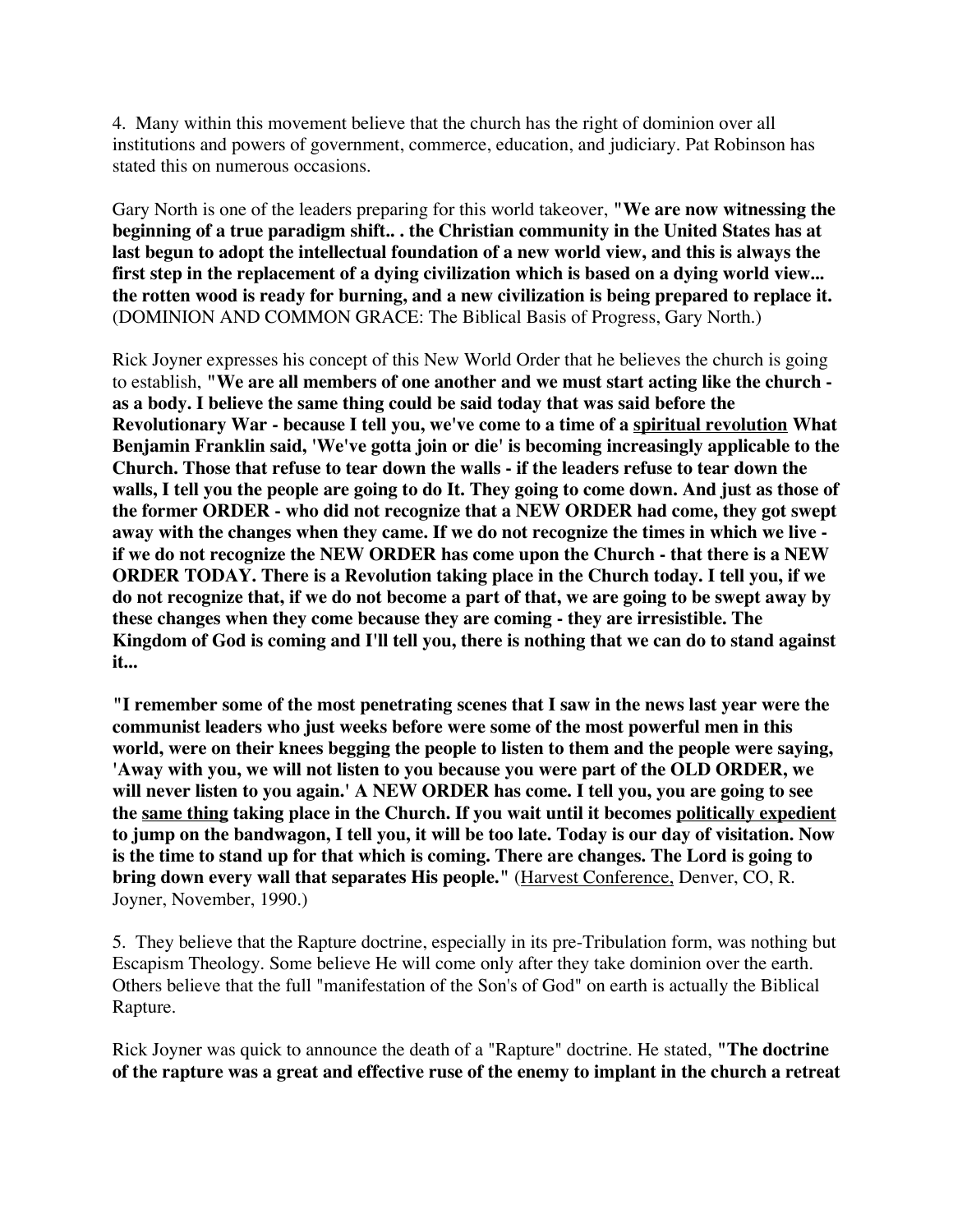4. Many within this movement believe that the church has the right of dominion over all institutions and powers of government, commerce, education, and judiciary. Pat Robinson has stated this on numerous occasions.

Gary North is one of the leaders preparing for this world takeover, **"We are now witnessing the beginning of a true paradigm shift.. . the Christian community in the United States has at last begun to adopt the intellectual foundation of a new world view, and this is always the first step in the replacement of a dying civilization which is based on a dying world view... the rotten wood is ready for burning, and a new civilization is being prepared to replace it.** (DOMINION AND COMMON GRACE: The Biblical Basis of Progress, Gary North.)

Rick Joyner expresses his concept of this New World Order that he believes the church is going to establish, **"We are all members of one another and we must start acting like the church as a body. I believe the same thing could be said today that was said before the Revolutionary War - because I tell you, we've come to a time of a spiritual revolution What Benjamin Franklin said, 'We've gotta join or die' is becoming increasingly applicable to the Church. Those that refuse to tear down the walls - if the leaders refuse to tear down the walls, I tell you the people are going to do It. They going to come down. And just as those of the former ORDER - who did not recognize that a NEW ORDER had come, they got swept away with the changes when they came. If we do not recognize the times in which we live if we do not recognize the NEW ORDER has come upon the Church - that there is a NEW ORDER TODAY. There is a Revolution taking place in the Church today. I tell you, if we do not recognize that, if we do not become a part of that, we are going to be swept away by these changes when they come because they are coming - they are irresistible. The Kingdom of God is coming and I'll tell you, there is nothing that we can do to stand against it...**

**"I remember some of the most penetrating scenes that I saw in the news last year were the communist leaders who just weeks before were some of the most powerful men in this world, were on their knees begging the people to listen to them and the people were saying, 'Away with you, we will not listen to you because you were part of the OLD ORDER, we will never listen to you again.' A NEW ORDER has come. I tell you, you are going to see the same thing taking place in the Church. If you wait until it becomes politically expedient to jump on the bandwagon, I tell you, it will be too late. Today is our day of visitation. Now is the time to stand up for that which is coming. There are changes. The Lord is going to bring down every wall that separates His people."** (Harvest Conference, Denver, CO, R. Joyner, November, 1990.)

5. They believe that the Rapture doctrine, especially in its pre-Tribulation form, was nothing but Escapism Theology. Some believe He will come only after they take dominion over the earth. Others believe that the full "manifestation of the Son's of God" on earth is actually the Biblical Rapture.

Rick Joyner was quick to announce the death of a "Rapture" doctrine. He stated, **"The doctrine of the rapture was a great and effective ruse of the enemy to implant in the church a retreat**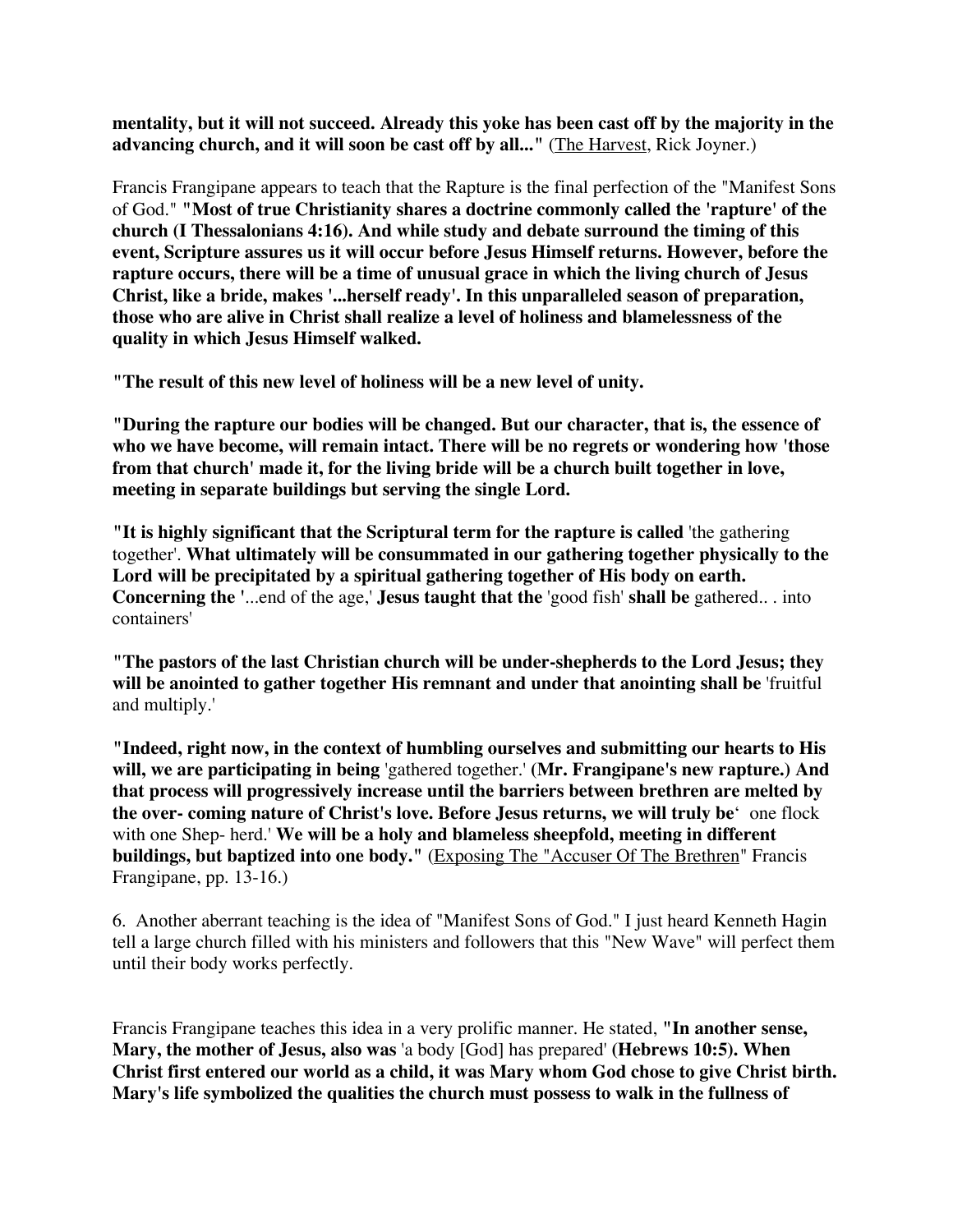**mentality, but it will not succeed. Already this yoke has been cast off by the majority in the advancing church, and it will soon be cast off by all..."** (The Harvest, Rick Joyner.)

Francis Frangipane appears to teach that the Rapture is the final perfection of the "Manifest Sons of God." **"Most of true Christianity shares a doctrine commonly called the 'rapture' of the church (I Thessalonians 4:16). And while study and debate surround the timing of this event, Scripture assures us it will occur before Jesus Himself returns. However, before the rapture occurs, there will be a time of unusual grace in which the living church of Jesus Christ, like a bride, makes '...herself ready'. In this unparalleled season of preparation, those who are alive in Christ shall realize a level of holiness and blamelessness of the quality in which Jesus Himself walked.**

**"The result of this new level of holiness will be a new level of unity.**

**"During the rapture our bodies will be changed. But our character, that is, the essence of who we have become, will remain intact. There will be no regrets or wondering how 'those from that church' made it, for the living bride will be a church built together in love, meeting in separate buildings but serving the single Lord.**

**"It is highly significant that the Scriptural term for the rapture is called** 'the gathering together'. **What ultimately will be consummated in our gathering together physically to the Lord will be precipitated by a spiritual gathering together of His body on earth. Concerning the '**...end of the age,' **Jesus taught that the** 'good fish' **shall be** gathered.. . into containers'

**"The pastors of the last Christian church will be under-shepherds to the Lord Jesus; they will be anointed to gather together His remnant and under that anointing shall be** 'fruitful and multiply.'

**"Indeed, right now, in the context of humbling ourselves and submitting our hearts to His will, we are participating in being** 'gathered together.' **(Mr. Frangipane's new rapture.) And that process will progressively increase until the barriers between brethren are melted by the over- coming nature of Christ's love. Before Jesus returns, we will truly be**' one flock with one Shep- herd.' **We will be a holy and blameless sheepfold, meeting in different buildings, but baptized into one body."** (Exposing The "Accuser Of The Brethren" Francis Frangipane, pp. 13-16.)

6. Another aberrant teaching is the idea of "Manifest Sons of God." I just heard Kenneth Hagin tell a large church filled with his ministers and followers that this "New Wave" will perfect them until their body works perfectly.

Francis Frangipane teaches this idea in a very prolific manner. He stated, **"In another sense, Mary, the mother of Jesus, also was** 'a body [God] has prepared' **(Hebrews 10:5). When Christ first entered our world as a child, it was Mary whom God chose to give Christ birth. Mary's life symbolized the qualities the church must possess to walk in the fullness of**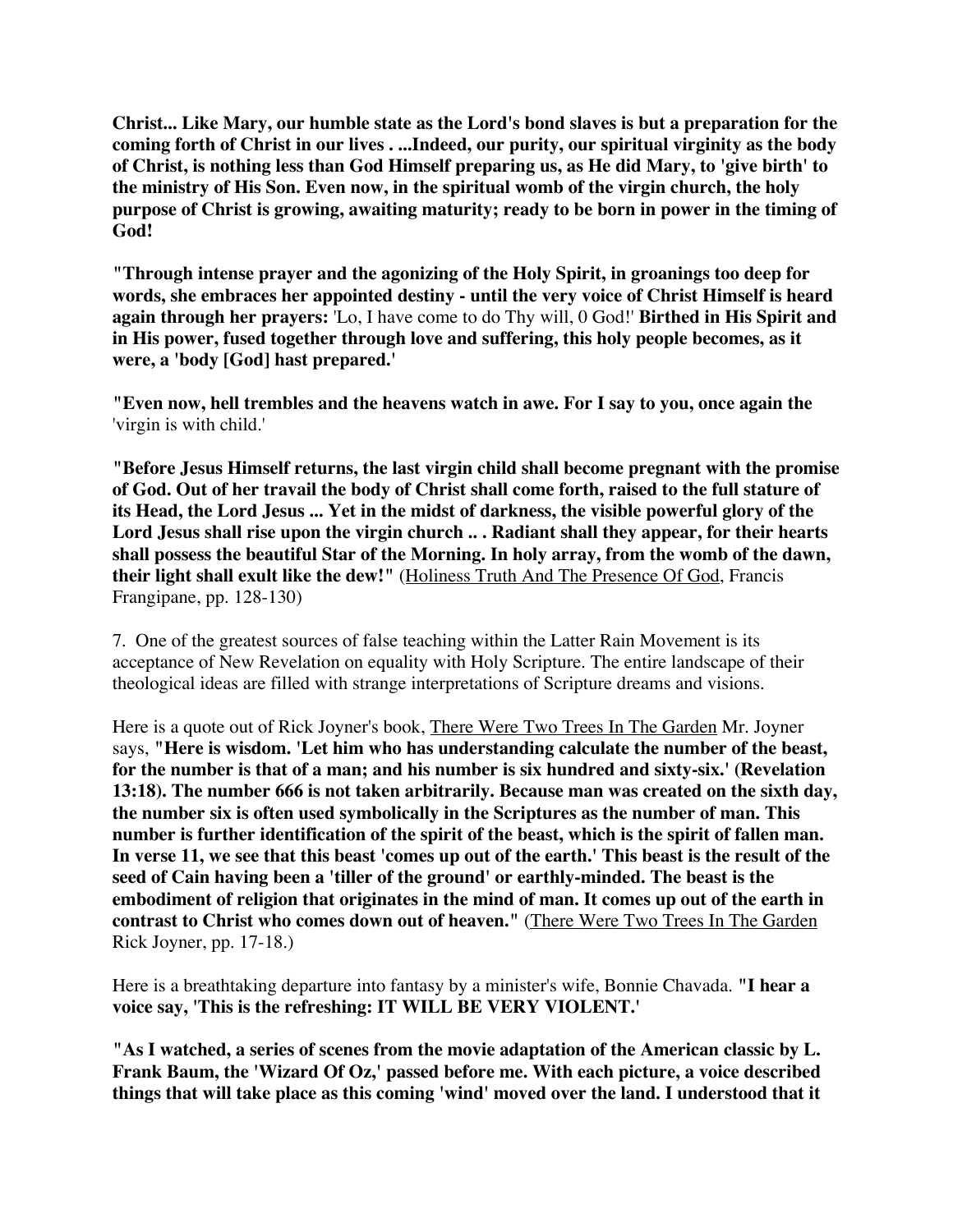**Christ... Like Mary, our humble state as the Lord's bond slaves is but a preparation for the coming forth of Christ in our lives . ...Indeed, our purity, our spiritual virginity as the body of Christ, is nothing less than God Himself preparing us, as He did Mary, to 'give birth' to the ministry of His Son. Even now, in the spiritual womb of the virgin church, the holy purpose of Christ is growing, awaiting maturity; ready to be born in power in the timing of God!**

**"Through intense prayer and the agonizing of the Holy Spirit, in groanings too deep for words, she embraces her appointed destiny - until the very voice of Christ Himself is heard again through her prayers:** 'Lo, I have come to do Thy will, 0 God!' **Birthed in His Spirit and in His power, fused together through love and suffering, this holy people becomes, as it were, a 'body [God] hast prepared.'**

**"Even now, hell trembles and the heavens watch in awe. For I say to you, once again the** 'virgin is with child.'

**"Before Jesus Himself returns, the last virgin child shall become pregnant with the promise of God. Out of her travail the body of Christ shall come forth, raised to the full stature of its Head, the Lord Jesus ... Yet in the midst of darkness, the visible powerful glory of the Lord Jesus shall rise upon the virgin church .. . Radiant shall they appear, for their hearts shall possess the beautiful Star of the Morning. In holy array, from the womb of the dawn, their light shall exult like the dew!"** (Holiness Truth And The Presence Of God, Francis Frangipane, pp. 128-130)

7. One of the greatest sources of false teaching within the Latter Rain Movement is its acceptance of New Revelation on equality with Holy Scripture. The entire landscape of their theological ideas are filled with strange interpretations of Scripture dreams and visions.

Here is a quote out of Rick Joyner's book, There Were Two Trees In The Garden Mr. Joyner says, **"Here is wisdom. 'Let him who has understanding calculate the number of the beast, for the number is that of a man; and his number is six hundred and sixty-six.' (Revelation 13:18). The number 666 is not taken arbitrarily. Because man was created on the sixth day, the number six is often used symbolically in the Scriptures as the number of man. This number is further identification of the spirit of the beast, which is the spirit of fallen man. In verse 11, we see that this beast 'comes up out of the earth.' This beast is the result of the seed of Cain having been a 'tiller of the ground' or earthly-minded. The beast is the embodiment of religion that originates in the mind of man. It comes up out of the earth in contrast to Christ who comes down out of heaven."** (There Were Two Trees In The Garden Rick Joyner, pp. 17-18.)

Here is a breathtaking departure into fantasy by a minister's wife, Bonnie Chavada. **"I hear a voice say, 'This is the refreshing: IT WILL BE VERY VIOLENT.'**

**"As I watched, a series of scenes from the movie adaptation of the American classic by L. Frank Baum, the 'Wizard Of Oz,' passed before me. With each picture, a voice described things that will take place as this coming 'wind' moved over the land. I understood that it**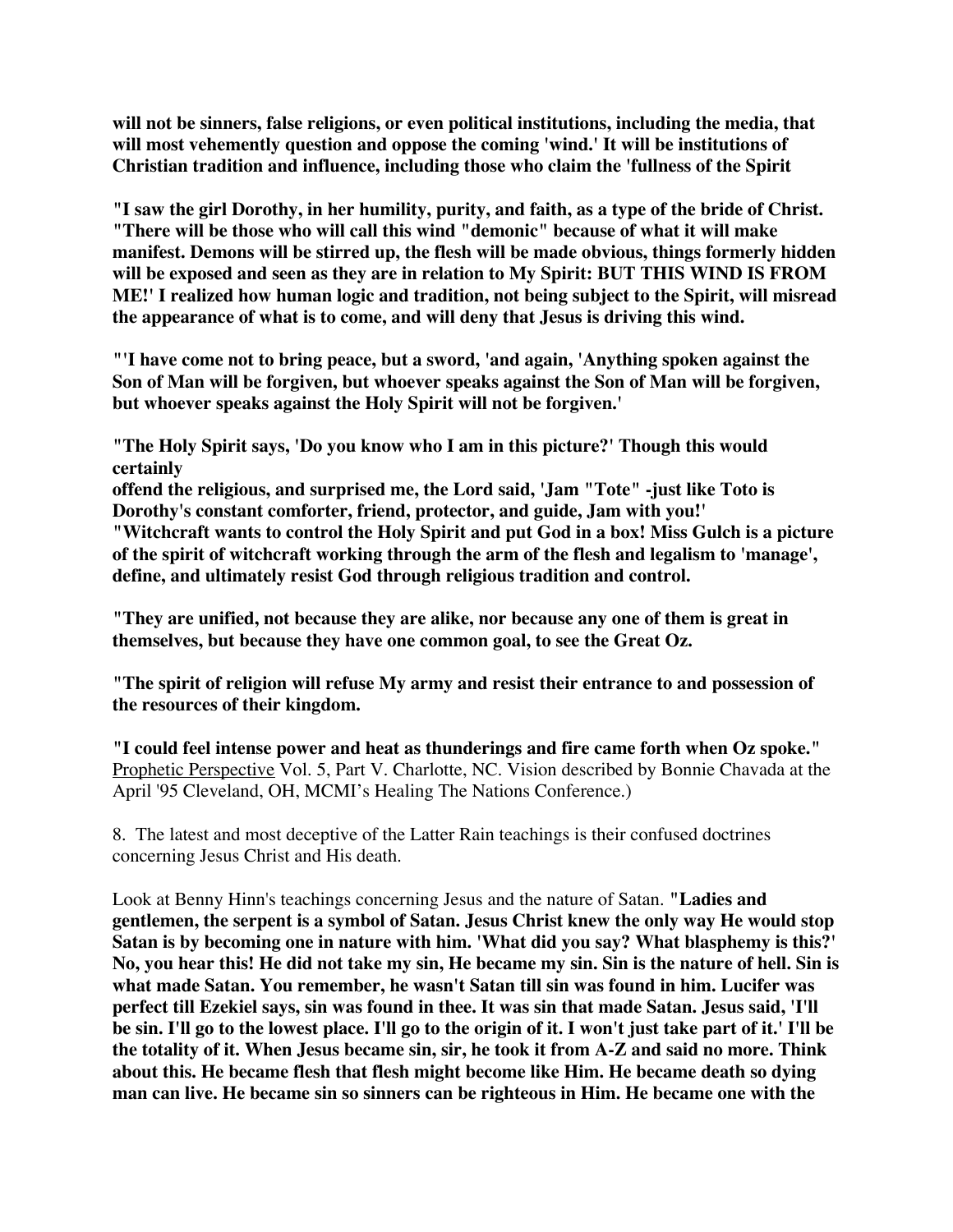**will not be sinners, false religions, or even political institutions, including the media, that will most vehemently question and oppose the coming 'wind.' It will be institutions of Christian tradition and influence, including those who claim the 'fullness of the Spirit**

**"I saw the girl Dorothy, in her humility, purity, and faith, as a type of the bride of Christ. "There will be those who will call this wind "demonic" because of what it will make manifest. Demons will be stirred up, the flesh will be made obvious, things formerly hidden will be exposed and seen as they are in relation to My Spirit: BUT THIS WIND IS FROM ME!' I realized how human logic and tradition, not being subject to the Spirit, will misread the appearance of what is to come, and will deny that Jesus is driving this wind.**

**"'I have come not to bring peace, but a sword, 'and again, 'Anything spoken against the Son of Man will be forgiven, but whoever speaks against the Son of Man will be forgiven, but whoever speaks against the Holy Spirit will not be forgiven.'**

**"The Holy Spirit says, 'Do you know who I am in this picture?' Though this would certainly**

**offend the religious, and surprised me, the Lord said, 'Jam "Tote" -just like Toto is Dorothy's constant comforter, friend, protector, and guide, Jam with you!' "Witchcraft wants to control the Holy Spirit and put God in a box! Miss Gulch is a picture of the spirit of witchcraft working through the arm of the flesh and legalism to 'manage', define, and ultimately resist God through religious tradition and control.**

**"They are unified, not because they are alike, nor because any one of them is great in themselves, but because they have one common goal, to see the Great Oz.**

**"The spirit of religion will refuse My army and resist their entrance to and possession of the resources of their kingdom.**

**"I could feel intense power and heat as thunderings and fire came forth when Oz spoke."** Prophetic Perspective Vol. 5, Part V. Charlotte, NC. Vision described by Bonnie Chavada at the April '95 Cleveland, OH, MCMI's Healing The Nations Conference.)

8. The latest and most deceptive of the Latter Rain teachings is their confused doctrines concerning Jesus Christ and His death.

Look at Benny Hinn's teachings concerning Jesus and the nature of Satan. **"Ladies and gentlemen, the serpent is a symbol of Satan. Jesus Christ knew the only way He would stop Satan is by becoming one in nature with him. 'What did you say? What blasphemy is this?' No, you hear this! He did not take my sin, He became my sin. Sin is the nature of hell. Sin is what made Satan. You remember, he wasn't Satan till sin was found in him. Lucifer was perfect till Ezekiel says, sin was found in thee. It was sin that made Satan. Jesus said, 'I'll be sin. I'll go to the lowest place. I'll go to the origin of it. I won't just take part of it.' I'll be the totality of it. When Jesus became sin, sir, he took it from A-Z and said no more. Think about this. He became flesh that flesh might become like Him. He became death so dying man can live. He became sin so sinners can be righteous in Him. He became one with the**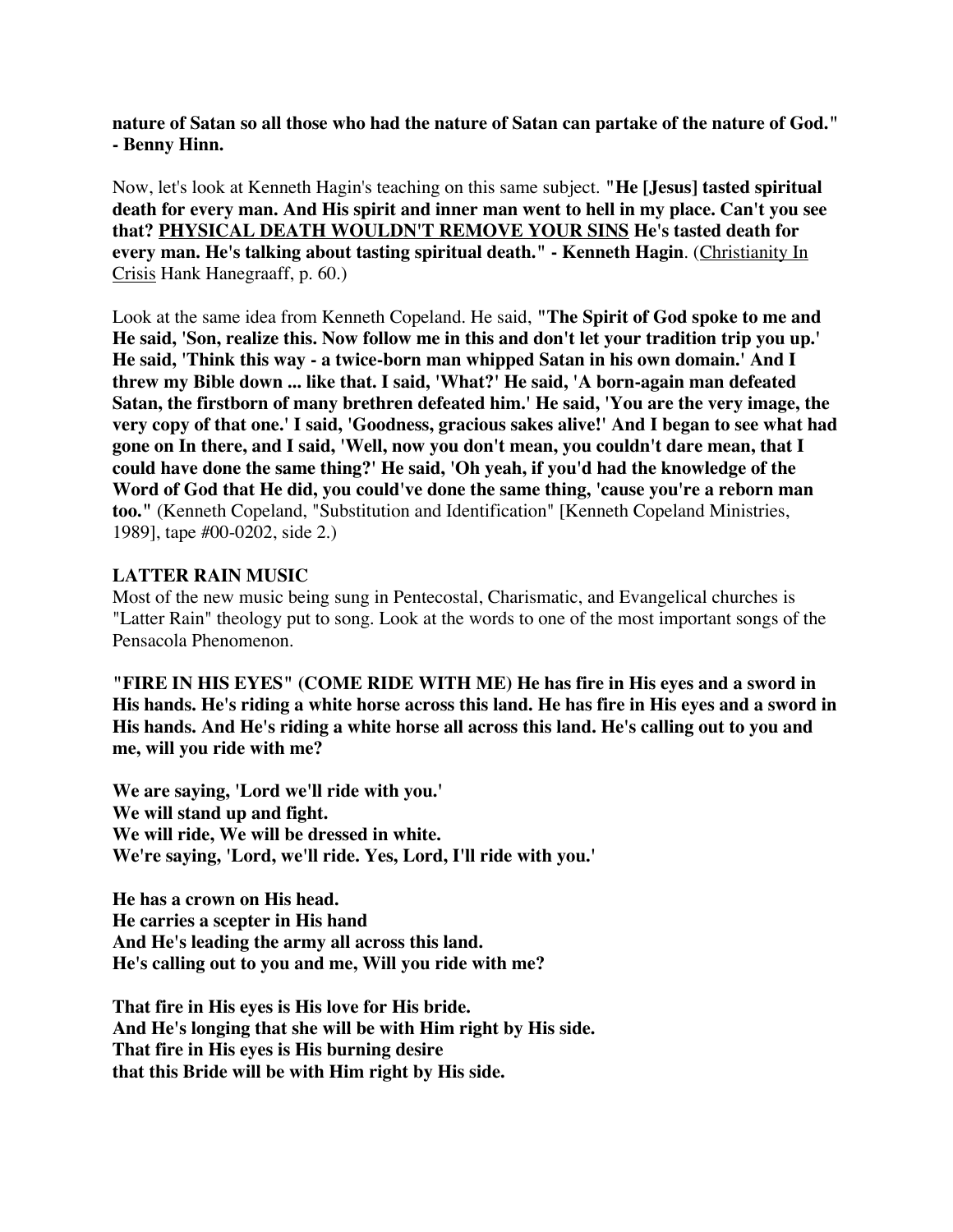**nature of Satan so all those who had the nature of Satan can partake of the nature of God." - Benny Hinn.**

Now, let's look at Kenneth Hagin's teaching on this same subject. **"He [Jesus] tasted spiritual death for every man. And His spirit and inner man went to hell in my place. Can't you see that? PHYSICAL DEATH WOULDN'T REMOVE YOUR SINS He's tasted death for every man. He's talking about tasting spiritual death." - Kenneth Hagin**. (Christianity In Crisis Hank Hanegraaff, p. 60.)

Look at the same idea from Kenneth Copeland. He said, **"The Spirit of God spoke to me and He said, 'Son, realize this. Now follow me in this and don't let your tradition trip you up.' He said, 'Think this way - a twice-born man whipped Satan in his own domain.' And I threw my Bible down ... like that. I said, 'What?' He said, 'A born-again man defeated Satan, the firstborn of many brethren defeated him.' He said, 'You are the very image, the very copy of that one.' I said, 'Goodness, gracious sakes alive!' And I began to see what had gone on In there, and I said, 'Well, now you don't mean, you couldn't dare mean, that I could have done the same thing?' He said, 'Oh yeah, if you'd had the knowledge of the Word of God that He did, you could've done the same thing, 'cause you're a reborn man too."** (Kenneth Copeland, "Substitution and Identification" [Kenneth Copeland Ministries, 1989], tape #00-0202, side 2.)

## **LATTER RAIN MUSIC**

Most of the new music being sung in Pentecostal, Charismatic, and Evangelical churches is "Latter Rain" theology put to song. Look at the words to one of the most important songs of the Pensacola Phenomenon.

**"FIRE IN HIS EYES" (COME RIDE WITH ME) He has fire in His eyes and a sword in His hands. He's riding a white horse across this land. He has fire in His eyes and a sword in His hands. And He's riding a white horse all across this land. He's calling out to you and me, will you ride with me?**

**We are saying, 'Lord we'll ride with you.' We will stand up and fight. We will ride, We will be dressed in white. We're saying, 'Lord, we'll ride. Yes, Lord, I'll ride with you.'**

**He has a crown on His head. He carries a scepter in His hand And He's leading the army all across this land. He's calling out to you and me, Will you ride with me?**

**That fire in His eyes is His love for His bride. And He's longing that she will be with Him right by His side. That fire in His eyes is His burning desire that this Bride will be with Him right by His side.**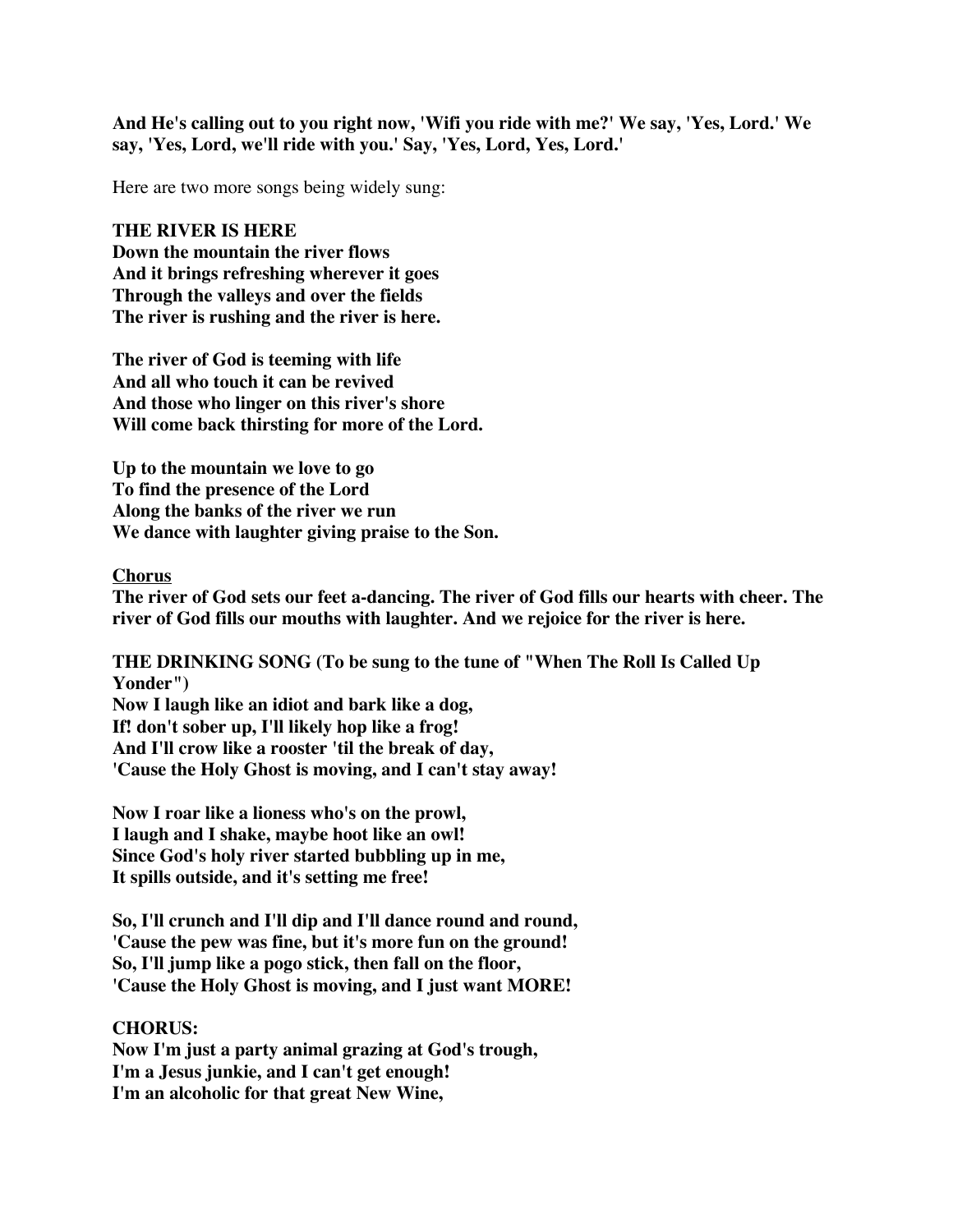**And He's calling out to you right now, 'Wifi you ride with me?' We say, 'Yes, Lord.' We say, 'Yes, Lord, we'll ride with you.' Say, 'Yes, Lord, Yes, Lord.'**

Here are two more songs being widely sung:

**THE RIVER IS HERE Down the mountain the river flows And it brings refreshing wherever it goes Through the valleys and over the fields The river is rushing and the river is here.**

**The river of God is teeming with life And all who touch it can be revived And those who linger on this river's shore Will come back thirsting for more of the Lord.**

**Up to the mountain we love to go To find the presence of the Lord Along the banks of the river we run We dance with laughter giving praise to the Son.**

#### **Chorus**

**The river of God sets our feet a-dancing. The river of God fills our hearts with cheer. The river of God fills our mouths with laughter. And we rejoice for the river is here.**

**THE DRINKING SONG (To be sung to the tune of "When The Roll Is Called Up Yonder") Now I laugh like an idiot and bark like a dog, If! don't sober up, I'll likely hop like a frog! And I'll crow like a rooster 'til the break of day, 'Cause the Holy Ghost is moving, and I can't stay away!**

**Now I roar like a lioness who's on the prowl, I laugh and I shake, maybe hoot like an owl! Since God's holy river started bubbling up in me, It spills outside, and it's setting me free!**

**So, I'll crunch and I'll dip and I'll dance round and round, 'Cause the pew was fine, but it's more fun on the ground! So, I'll jump like a pogo stick, then fall on the floor, 'Cause the Holy Ghost is moving, and I just want MORE!**

## **CHORUS:**

**Now I'm just a party animal grazing at God's trough, I'm a Jesus junkie, and I can't get enough! I'm an alcoholic for that great New Wine,**